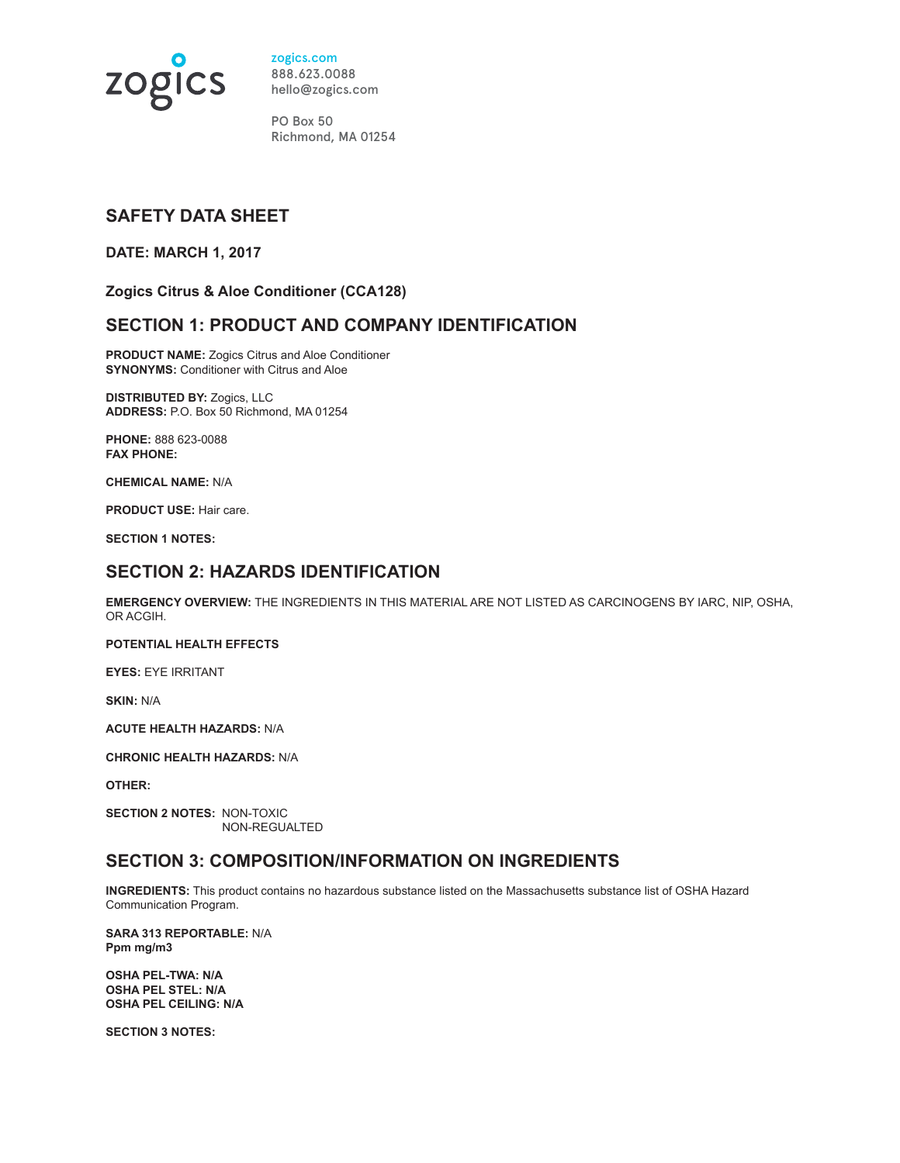

zogics.com 888.623.0088 hello@zogics.com

PO Box 50 Richmond, MA 01254

## **SAFETY DATA SHEET**

**DATE: MARCH 1, 2017**

**Zogics Citrus & Aloe Conditioner (CCA128)** 

## **SECTION 1: PRODUCT AND COMPANY IDENTIFICATION**

**PRODUCT NAME:** Zogics Citrus and Aloe Conditioner **SYNONYMS: Conditioner with Citrus and Aloe** 

**DISTRIBUTED BY:** Zogics, LLC **ADDRESS:** P.O. Box 50 Richmond, MA 01254

**PHONE:** 888 623-0088 **FAX PHONE:** 

**CHEMICAL NAME:** N/A

**PRODUCT USE:** Hair care.

**SECTION 1 NOTES:** 

#### **SECTION 2: HAZARDS IDENTIFICATION**

**EMERGENCY OVERVIEW:** THE INGREDIENTS IN THIS MATERIAL ARE NOT LISTED AS CARCINOGENS BY IARC, NIP, OSHA, OR ACGIH.

#### **POTENTIAL HEALTH EFFECTS**

**EYES:** EYE IRRITANT

**SKIN:** N/A

**ACUTE HEALTH HAZARDS:** N/A

**CHRONIC HEALTH HAZARDS:** N/A

**OTHER:** 

**SECTION 2 NOTES:** NON-TOXIC NON-REGUALTED

## **SECTION 3: COMPOSITION/INFORMATION ON INGREDIENTS**

**INGREDIENTS:** This product contains no hazardous substance listed on the Massachusetts substance list of OSHA Hazard Communication Program.

**SARA 313 REPORTABLE:** N/A **Ppm mg/m3**

**OSHA PEL-TWA: N/A OSHA PEL STEL: N/A OSHA PEL CEILING: N/A** 

**SECTION 3 NOTES:**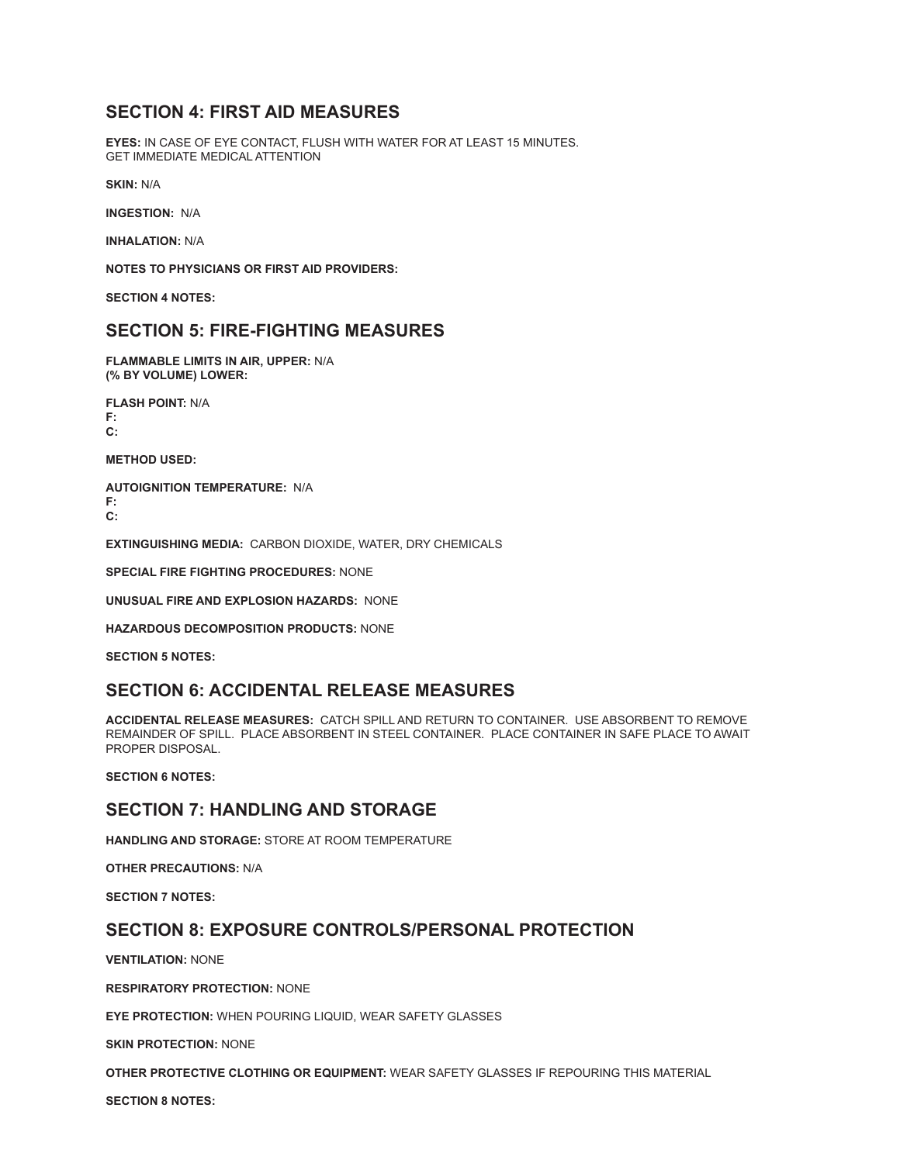## **SECTION 4: FIRST AID MEASURES**

**EYES:** IN CASE OF EYE CONTACT, FLUSH WITH WATER FOR AT LEAST 15 MINUTES. GET IMMEDIATE MEDICAL ATTENTION

**SKIN:** N/A

**INGESTION:** N/A

**INHALATION:** N/A

**NOTES TO PHYSICIANS OR FIRST AID PROVIDERS:**

**SECTION 4 NOTES:**

#### **SECTION 5: FIRE-FIGHTING MEASURES**

**FLAMMABLE LIMITS IN AIR, UPPER:** N/A **(% BY VOLUME) LOWER:** 

**FLASH POINT:** N/A **F: C:** 

**METHOD USED:**

**AUTOIGNITION TEMPERATURE:** N/A **F:** 

**C:** 

**EXTINGUISHING MEDIA:** CARBON DIOXIDE, WATER, DRY CHEMICALS

**SPECIAL FIRE FIGHTING PROCEDURES:** NONE

**UNUSUAL FIRE AND EXPLOSION HAZARDS:** NONE

**HAZARDOUS DECOMPOSITION PRODUCTS:** NONE

**SECTION 5 NOTES:**

#### **SECTION 6: ACCIDENTAL RELEASE MEASURES**

**ACCIDENTAL RELEASE MEASURES:** CATCH SPILL AND RETURN TO CONTAINER. USE ABSORBENT TO REMOVE REMAINDER OF SPILL. PLACE ABSORBENT IN STEEL CONTAINER. PLACE CONTAINER IN SAFE PLACE TO AWAIT PROPER DISPOSAL.

**SECTION 6 NOTES:** 

#### **SECTION 7: HANDLING AND STORAGE**

**HANDLING AND STORAGE:** STORE AT ROOM TEMPERATURE

**OTHER PRECAUTIONS:** N/A

**SECTION 7 NOTES:**

## **SECTION 8: EXPOSURE CONTROLS/PERSONAL PROTECTION**

**VENTILATION:** NONE

**RESPIRATORY PROTECTION:** NONE

**EYE PROTECTION:** WHEN POURING LIQUID, WEAR SAFETY GLASSES

**SKIN PROTECTION:** NONE

**OTHER PROTECTIVE CLOTHING OR EQUIPMENT:** WEAR SAFETY GLASSES IF REPOURING THIS MATERIAL

**SECTION 8 NOTES:**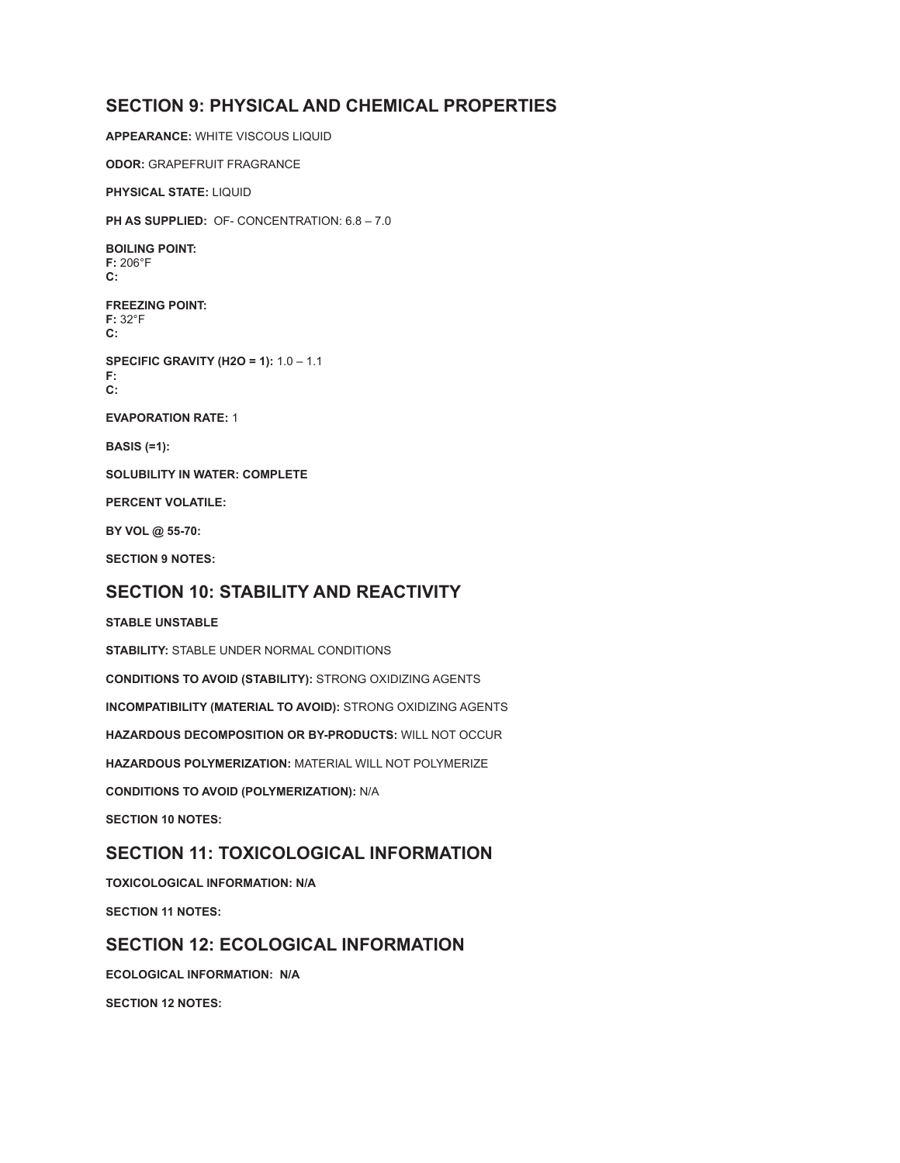## **SECTION 9: PHYSICAL AND CHEMICAL PROPERTIES**

**APPEARANCE:** WHITE VISCOUS LIQUID **ODOR:** GRAPEFRUIT FRAGRANCE **PHYSICAL STATE:** LIQUID **PH AS SUPPLIED:** OF- CONCENTRATION: 6.8 – 7.0 **BOILING POINT: F:** 206°F **C: FREEZING POINT: F:** 32°F **C: SPECIFIC GRAVITY (H2O = 1):** 1.0 – 1.1 **F: C: EVAPORATION RATE:** 1 **BASIS (=1): SOLUBILITY IN WATER: COMPLETE PERCENT VOLATILE: BY VOL @ 55-70:**

**SECTION 9 NOTES:**

## **SECTION 10: STABILITY AND REACTIVITY**

#### **STABLE UNSTABLE**

**STABILITY:** STABLE UNDER NORMAL CONDITIONS **CONDITIONS TO AVOID (STABILITY):** STRONG OXIDIZING AGENTS **INCOMPATIBILITY (MATERIAL TO AVOID):** STRONG OXIDIZING AGENTS **HAZARDOUS DECOMPOSITION OR BY-PRODUCTS:** WILL NOT OCCUR **HAZARDOUS POLYMERIZATION:** MATERIAL WILL NOT POLYMERIZE **CONDITIONS TO AVOID (POLYMERIZATION):** N/A **SECTION 10 NOTES:**

## **SECTION 11: TOXICOLOGICAL INFORMATION**

**TOXICOLOGICAL INFORMATION: N/A SECTION 11 NOTES:**

#### **SECTION 12: ECOLOGICAL INFORMATION**

**ECOLOGICAL INFORMATION: N/A SECTION 12 NOTES:**